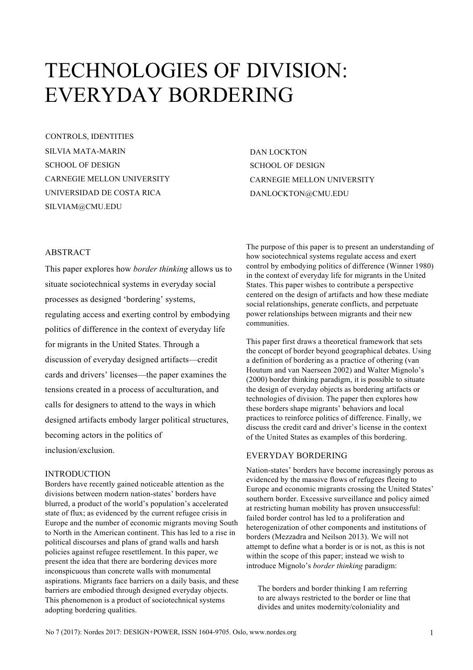# TECHNOLOGIES OF DIVISION: EVERYDAY BORDERING

SILVIA MATA-MARIN SCHOOL OF DESIGN CARNEGIE MELLON UNIVERSITY UNIVERSIDAD DE COSTA RICA SILVIAM@CMU.EDU CONTROLS, IDENTITIES

DAN LOCKTON SCHOOL OF DESIGN CARNEGIE MELLON UNIVERSITY DANLOCKTON@CMU.EDU

## ABSTRACT

This paper explores how *border thinking* allows us to situate sociotechnical systems in everyday social processes as designed 'bordering' systems, regulating access and exerting control by embodying politics of difference in the context of everyday life for migrants in the United States. Through a discussion of everyday designed artifacts—credit cards and drivers' licenses—the paper examines the tensions created in a process of acculturation, and calls for designers to attend to the ways in which designed artifacts embody larger political structures, becoming actors in the politics of inclusion/exclusion.

## INTRODUCTION

Borders have recently gained noticeable attention as the divisions between modern nation-states' borders have blurred, a product of the world's population's accelerated state of flux; as evidenced by the current refugee crisis in Europe and the number of economic migrants moving South to North in the American continent. This has led to a rise in political discourses and plans of grand walls and harsh policies against refugee resettlement. In this paper, we present the idea that there are bordering devices more inconspicuous than concrete walls with monumental aspirations. Migrants face barriers on a daily basis, and these barriers are embodied through designed everyday objects. This phenomenon is a product of sociotechnical systems adopting bordering qualities.

The purpose of this paper is to present an understanding of how sociotechnical systems regulate access and exert control by embodying politics of difference (Winner 1980) in the context of everyday life for migrants in the United States. This paper wishes to contribute a perspective centered on the design of artifacts and how these mediate social relationships, generate conflicts, and perpetuate power relationships between migrants and their new communities.

This paper first draws a theoretical framework that sets the concept of border beyond geographical debates. Using a definition of bordering as a practice of othering (van Houtum and van Naerseen 2002) and Walter Mignolo's (2000) border thinking paradigm, it is possible to situate the design of everyday objects as bordering artifacts or technologies of division. The paper then explores how these borders shape migrants' behaviors and local practices to reinforce politics of difference. Finally, we discuss the credit card and driver's license in the context of the United States as examples of this bordering.

#### EVERYDAY BORDERING

Nation-states' borders have become increasingly porous as evidenced by the massive flows of refugees fleeing to Europe and economic migrants crossing the United States' southern border. Excessive surveillance and policy aimed at restricting human mobility has proven unsuccessful: failed border control has led to a proliferation and heterogenization of other components and institutions of borders (Mezzadra and Neilson 2013). We will not attempt to define what a border is or is not, as this is not within the scope of this paper; instead we wish to introduce Mignolo's *border thinking* paradigm:

The borders and border thinking I am referring to are always restricted to the border or line that divides and unites modernity/coloniality and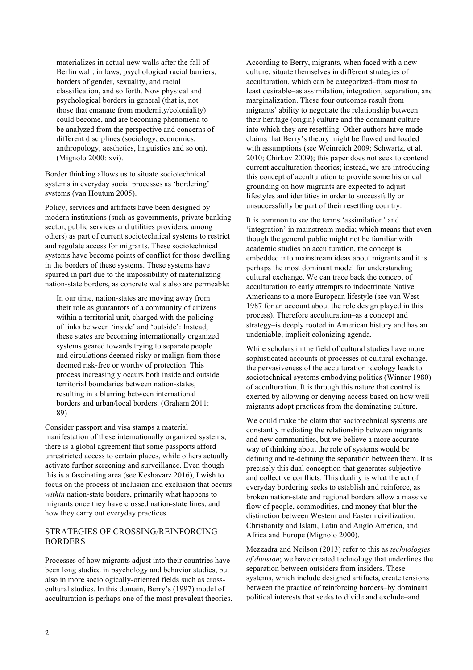materializes in actual new walls after the fall of Berlin wall; in laws, psychological racial barriers, borders of gender, sexuality, and racial classification, and so forth. Now physical and psychological borders in general (that is, not those that emanate from modernity/coloniality) could become, and are becoming phenomena to be analyzed from the perspective and concerns of different disciplines (sociology, economics, anthropology, aesthetics, linguistics and so on). (Mignolo 2000: xvi).

Border thinking allows us to situate sociotechnical systems in everyday social processes as 'bordering' systems (van Houtum 2005).

Policy, services and artifacts have been designed by modern institutions (such as governments, private banking sector, public services and utilities providers, among others) as part of current sociotechnical systems to restrict and regulate access for migrants. These sociotechnical systems have become points of conflict for those dwelling in the borders of these systems. These systems have spurred in part due to the impossibility of materializing nation-state borders, as concrete walls also are permeable:

In our time, nation-states are moving away from their role as guarantors of a community of citizens within a territorial unit, charged with the policing of links between 'inside' and 'outside': Instead, these states are becoming internationally organized systems geared towards trying to separate people and circulations deemed risky or malign from those deemed risk-free or worthy of protection. This process increasingly occurs both inside and outside territorial boundaries between nation-states, resulting in a blurring between international borders and urban/local borders. (Graham 2011: 89).

Consider passport and visa stamps a material manifestation of these internationally organized systems; there is a global agreement that some passports afford unrestricted access to certain places, while others actually activate further screening and surveillance. Even though this is a fascinating area (see Keshavarz 2016), I wish to focus on the process of inclusion and exclusion that occurs *within* nation-state borders, primarily what happens to migrants once they have crossed nation-state lines, and how they carry out everyday practices.

#### STRATEGIES OF CROSSING/REINFORCING BORDERS

Processes of how migrants adjust into their countries have been long studied in psychology and behavior studies, but also in more sociologically-oriented fields such as crosscultural studies. In this domain, Berry's (1997) model of acculturation is perhaps one of the most prevalent theories. According to Berry, migrants, when faced with a new culture, situate themselves in different strategies of acculturation, which can be categorized–from most to least desirable–as assimilation, integration, separation, and marginalization. These four outcomes result from migrants' ability to negotiate the relationship between their heritage (origin) culture and the dominant culture into which they are resettling. Other authors have made claims that Berry's theory might be flawed and loaded with assumptions (see Weinreich 2009; Schwartz, et al. 2010; Chirkov 2009); this paper does not seek to contend current acculturation theories; instead, we are introducing this concept of acculturation to provide some historical grounding on how migrants are expected to adjust lifestyles and identities in order to successfully or unsuccessfully be part of their resettling country.

It is common to see the terms 'assimilation' and 'integration' in mainstream media; which means that even though the general public might not be familiar with academic studies on acculturation, the concept is embedded into mainstream ideas about migrants and it is perhaps the most dominant model for understanding cultural exchange. We can trace back the concept of acculturation to early attempts to indoctrinate Native Americans to a more European lifestyle (see van West 1987 for an account about the role design played in this process). Therefore acculturation–as a concept and strategy–is deeply rooted in American history and has an undeniable, implicit colonizing agenda.

While scholars in the field of cultural studies have more sophisticated accounts of processes of cultural exchange, the pervasiveness of the acculturation ideology leads to sociotechnical systems embodying politics (Winner 1980) of acculturation. It is through this nature that control is exerted by allowing or denying access based on how well migrants adopt practices from the dominating culture.

We could make the claim that sociotechnical systems are constantly mediating the relationship between migrants and new communities, but we believe a more accurate way of thinking about the role of systems would be defining and re-defining the separation between them. It is precisely this dual conception that generates subjective and collective conflicts. This duality is what the act of everyday bordering seeks to establish and reinforce, as broken nation-state and regional borders allow a massive flow of people, commodities, and money that blur the distinction between Western and Eastern civilization, Christianity and Islam, Latin and Anglo America, and Africa and Europe (Mignolo 2000).

Mezzadra and Neilson (2013) refer to this as *technologies of division*; we have created technology that underlines the separation between outsiders from insiders. These systems, which include designed artifacts, create tensions between the practice of reinforcing borders–by dominant political interests that seeks to divide and exclude–and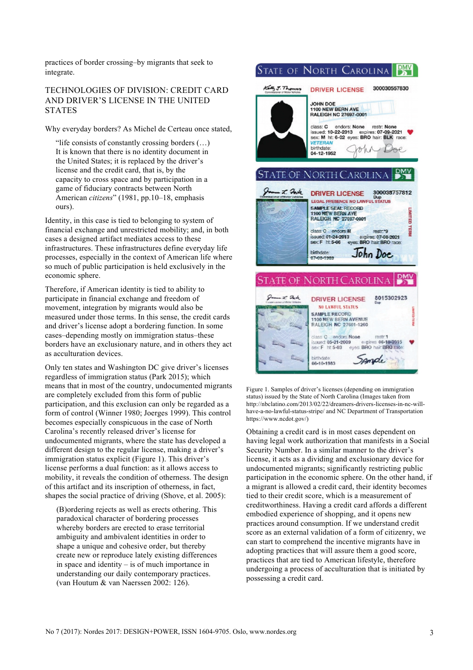practices of border crossing–by migrants that seek to integrate.

# TECHNOLOGIES OF DIVISION: CREDIT CARD AND DRIVER'S LICENSE IN THE UNITED **STATES**

Why everyday borders? As Michel de Certeau once stated,

"life consists of constantly crossing borders  $(\ldots)$ It is known that there is no identity document in the United States; it is replaced by the driver's license and the credit card, that is, by the capacity to cross space and by participation in a game of fiduciary contracts between North American *citizens*" (1981, pp.10–18, emphasis ours).

Identity, in this case is tied to belonging to system of financial exchange and unrestricted mobility; and, in both cases a designed artifact mediates access to these infrastructures. These infrastructures define everyday life processes, especially in the context of American life where so much of public participation is held exclusively in the economic sphere.

Therefore, if American identity is tied to ability to participate in financial exchange and freedom of movement, integration by migrants would also be measured under those terms. In this sense, the credit cards and driver's license adopt a bordering function. In some cases–depending mostly on immigration status–these borders have an exclusionary nature, and in others they act as acculturation devices.

Only ten states and Washington DC give driver's licenses regardless of immigration status (Park 2015); which means that in most of the country, undocumented migrants are completely excluded from this form of public participation, and this exclusion can only be regarded as a form of control (Winner 1980; Joerges 1999). This control becomes especially conspicuous in the case of North Carolina's recently released driver's license for undocumented migrants, where the state has developed a different design to the regular license, making a driver's immigration status explicit (Figure 1). This driver's license performs a dual function: as it allows access to mobility, it reveals the condition of otherness. The design of this artifact and its inscription of otherness, in fact, shapes the social practice of driving (Shove, et al. 2005):

(B)ordering rejects as well as erects othering. This paradoxical character of bordering processes whereby borders are erected to erase territorial ambiguity and ambivalent identities in order to shape a unique and cohesive order, but thereby create new or reproduce lately existing differences in space and identity – is of much importance in understanding our daily contemporary practices. (van Houtum & van Naerssen 2002: 126).

#### STATE OF NORTH CAROLINA **DMV**



Figure 1. Samples of driver's licenses (depending on immigration status) issued by the State of North Carolina (Images taken from [http://nbclatino.com/2013/02/22/dreamers-drivers-licenses-in-nc-will](http://nbclatino.com/2013/02/22/dreamers-drivers-licenses-in-nc-will-have-a-no-lawful-status-stripe/)[have-a-no-lawful-status-stripe/](http://nbclatino.com/2013/02/22/dreamers-drivers-licenses-in-nc-will-have-a-no-lawful-status-stripe/) and NC Department of Transportation https://www.ncdot.gov/)

Obtaining a credit card is in most cases dependent on having legal work authorization that manifests in a Social Security Number. In a similar manner to the driver's license, it acts as a dividing and exclusionary device for undocumented migrants; significantly restricting public participation in the economic sphere. On the other hand, if a migrant is allowed a credit card, their identity becomes tied to their credit score, which is a measurement of creditworthiness. Having a credit card affords a different embodied experience of shopping, and it opens new practices around consumption. If we understand credit score as an external validation of a form of citizenry, we can start to comprehend the incentive migrants have in adopting practices that will assure them a good score, practices that are tied to American lifestyle, therefore undergoing a process of acculturation that is initiated by possessing a credit card.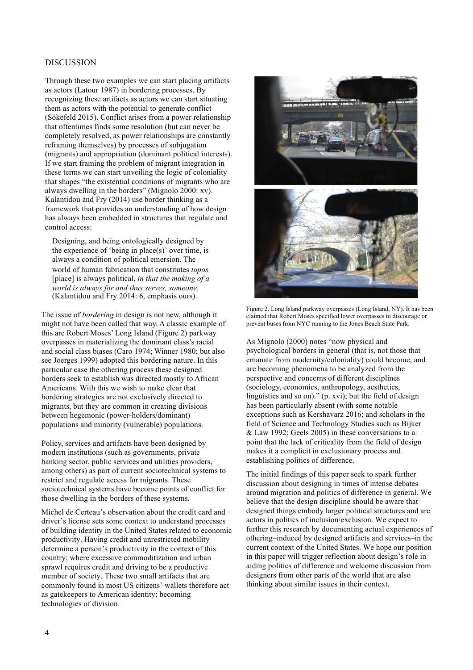#### DISCUSSION

Through these two examples we can start placing artifacts as actors (Latour 1987) in bordering processes. By recognizing these artifacts as actors we can start situating them as actors with the potential to generate conflict (Sökefeld 2015). Conflict arises from a power relationship that oftentimes finds some resolution (but can never be completely resolved, as power relationships are constantly reframing themselves) by processes of subjugation (migrants) and appropriation (dominant political interests). If we start framing the problem of migrant integration in these terms we can start unveiling the logic of coloniality that shapes "the existential conditions of migrants who are always dwelling in the borders" (Mignolo 2000: xv). Kalantidou and Fry (2014) use border thinking as a framework that provides an understanding of how design has always been embedded in structures that regulate and control access:

Designing, and being ontologically designed by the experience of 'being in place(s)' over time, is always a condition of political emersion. The world of human fabrication that constitutes *topos* [place] is always political, *in that the making of a world is always for and thus serves, someone.* (Kalantidou and Fry 2014: 6, emphasis ours).

The issue of *bordering* in design is not new, although it might not have been called that way. A classic example of this are Robert Moses' Long Island (Figure 2) parkway overpasses in materializing the dominant class's racial and social class biases (Caro 1974; Winner 1980; but also see Joerges 1999) adopted this bordering nature. In this particular case the othering process these designed borders seek to establish was directed mostly to African Americans. With this we wish to make clear that bordering strategies are not exclusively directed to migrants, but they are common in creating divisions between hegemonic (power-holders/dominant) populations and minority (vulnerable) populations.

Policy, services and artifacts have been designed by modern institutions (such as governments, private banking sector, public services and utilities providers, among others) as part of current sociotechnical systems to restrict and regulate access for migrants. These sociotechnical systems have become points of conflict for those dwelling in the borders of these systems.

Michel de Certeau's observation about the credit card and driver's license sets some context to understand processes of building identity in the United States related to economic productivity. Having credit and unrestricted mobility determine a person's productivity in the context of this country; where excessive commoditization and urban sprawl requires credit and driving to be a productive member of society. These two small artifacts that are commonly found in most US citizens' wallets therefore act as gatekeepers to American identity; becoming technologies of division.



Figure 2. Long Island parkway overpasses (Long Island, NY). It has been claimed that Robert Moses specified lower overpasses to discourage or prevent buses from NYC running to the Jones Beach State Park.

As Mignolo (2000) notes "now physical and psychological borders in general (that is, not those that emanate from modernity/coloniality) could become, and are becoming phenomena to be analyzed from the perspective and concerns of different disciplines (sociology, economics, anthropology, aesthetics, linguistics and so on)." (p. xvi); but the field of design has been particularly absent (with some notable exceptions such as Kershavarz 2016; and scholars in the field of Science and Technology Studies such as Bijker & Law 1992; Geels 2005) in these conversations to a point that the lack of criticality from the field of design makes it a complicit in exclusionary process and establishing politics of difference.

The initial findings of this paper seek to spark further discussion about designing in times of intense debates around migration and politics of difference in general. We believe that the design discipline should be aware that designed things embody larger political structures and are actors in politics of inclusion/exclusion. We expect to further this research by documenting actual experiences of othering–induced by designed artifacts and services–in the current context of the United States. We hope our position in this paper will trigger reflection about design's role in aiding politics of difference and welcome discussion from designers from other parts of the world that are also thinking about similar issues in their context.